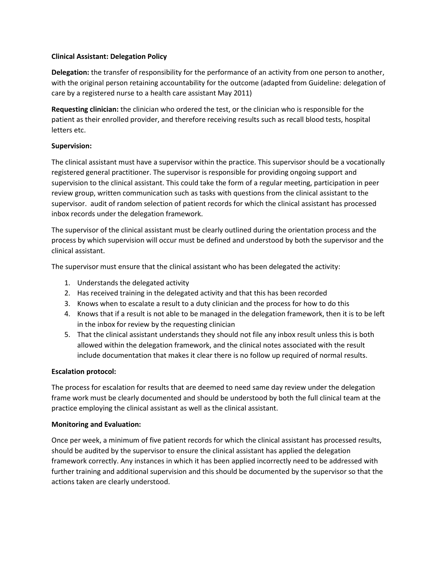### **Clinical Assistant: Delegation Policy**

**Delegation:** the transfer of responsibility for the performance of an activity from one person to another, with the original person retaining accountability for the outcome (adapted from Guideline: delegation of care by a registered nurse to a health care assistant May 2011)

**Requesting clinician:** the clinician who ordered the test, or the clinician who is responsible for the patient as their enrolled provider, and therefore receiving results such as recall blood tests, hospital letters etc.

# **Supervision:**

The clinical assistant must have a supervisor within the practice. This supervisor should be a vocationally registered general practitioner. The supervisor is responsible for providing ongoing support and supervision to the clinical assistant. This could take the form of a regular meeting, participation in peer review group, written communication such as tasks with questions from the clinical assistant to the supervisor. audit of random selection of patient records for which the clinical assistant has processed inbox records under the delegation framework.

The supervisor of the clinical assistant must be clearly outlined during the orientation process and the process by which supervision will occur must be defined and understood by both the supervisor and the clinical assistant.

The supervisor must ensure that the clinical assistant who has been delegated the activity:

- 1. Understands the delegated activity
- 2. Has received training in the delegated activity and that this has been recorded
- 3. Knows when to escalate a result to a duty clinician and the process for how to do this
- 4. Knows that if a result is not able to be managed in the delegation framework, then it is to be left in the inbox for review by the requesting clinician
- 5. That the clinical assistant understands they should not file any inbox result unless this is both allowed within the delegation framework, and the clinical notes associated with the result include documentation that makes it clear there is no follow up required of normal results.

# **Escalation protocol:**

The process for escalation for results that are deemed to need same day review under the delegation frame work must be clearly documented and should be understood by both the full clinical team at the practice employing the clinical assistant as well as the clinical assistant.

# **Monitoring and Evaluation:**

Once per week, a minimum of five patient records for which the clinical assistant has processed results, should be audited by the supervisor to ensure the clinical assistant has applied the delegation framework correctly. Any instances in which it has been applied incorrectly need to be addressed with further training and additional supervision and this should be documented by the supervisor so that the actions taken are clearly understood.